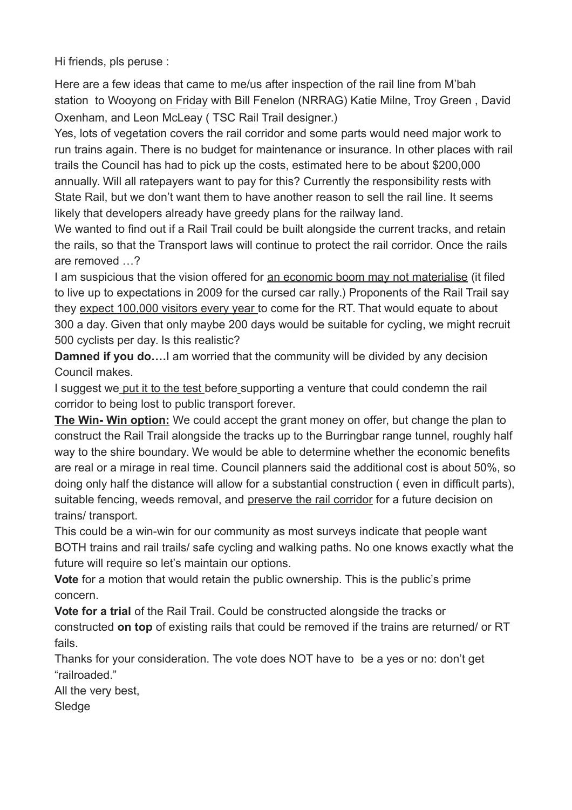Hi friends, pls peruse :

Here are a few ideas that came to me/us after inspection of the rail line from M'bah station to Wooyong on Friday with Bill Fenelon (NRRAG) Katie Milne, Troy Green , David Oxenham, and Leon McLeay ( TSC Rail Trail designer.)

Yes, lots of vegetation covers the rail corridor and some parts would need major work to run trains again. There is no budget for maintenance or insurance. In other places with rail trails the Council has had to pick up the costs, estimated here to be about \$200,000 annually. Will all ratepayers want to pay for this? Currently the responsibility rests with State Rail, but we don't want them to have another reason to sell the rail line. It seems likely that developers already have greedy plans for the railway land.

We wanted to find out if a Rail Trail could be built alongside the current tracks, and retain the rails, so that the Transport laws will continue to protect the rail corridor. Once the rails are removed …?

I am suspicious that the vision offered for an economic boom may not materialise (it filed to live up to expectations in 2009 for the cursed car rally.) Proponents of the Rail Trail say they expect 100,000 visitors every year to come for the RT. That would equate to about 300 a day. Given that only maybe 200 days would be suitable for cycling, we might recruit 500 cyclists per day. Is this realistic?

**Damned if you do….**I am worried that the community will be divided by any decision Council makes.

I suggest we put it to the test before supporting a venture that could condemn the rail corridor to being lost to public transport forever.

**The Win- Win option:** We could accept the grant money on offer, but change the plan to construct the Rail Trail alongside the tracks up to the Burringbar range tunnel, roughly half way to the shire boundary. We would be able to determine whether the economic benefits are real or a mirage in real time. Council planners said the additional cost is about 50%, so doing only half the distance will allow for a substantial construction ( even in difficult parts), suitable fencing, weeds removal, and preserve the rail corridor for a future decision on trains/ transport.

This could be a win-win for our community as most surveys indicate that people want BOTH trains and rail trails/ safe cycling and walking paths. No one knows exactly what the future will require so let's maintain our options.

**Vote** for a motion that would retain the public ownership. This is the public's prime concern.

**Vote for a trial** of the Rail Trail. Could be constructed alongside the tracks or constructed **on top** of existing rails that could be removed if the trains are returned/ or RT fails.

Thanks for your consideration. The vote does NOT have to be a yes or no: don't get "railroaded."

All the very best, **Sledge**